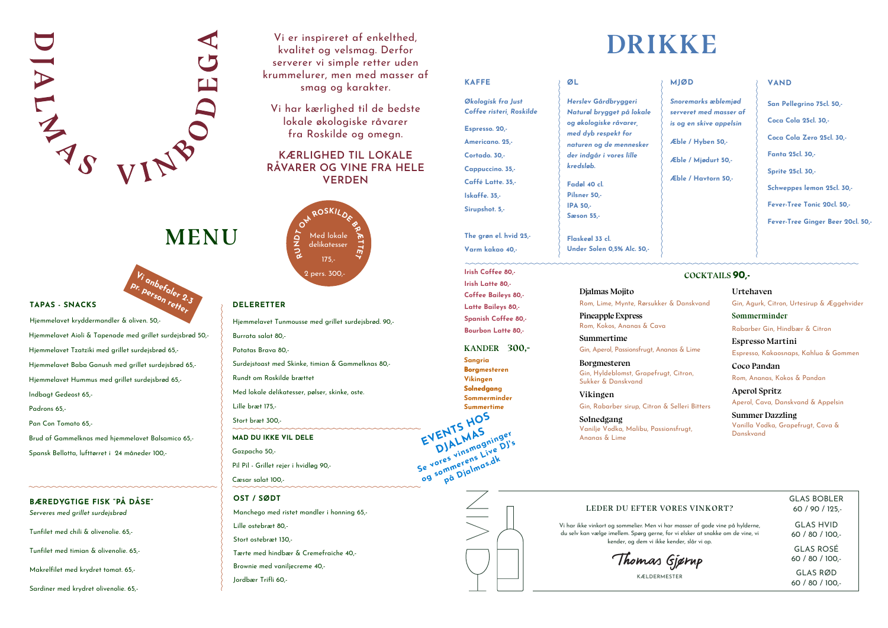#### **TAPAS - SNACKS**

Hjemmelavet kryddermandler & oliven. 50,- Hjemmelavet Aioli & Tapenade med grillet surdejsbrød 50,- Hjemmelavet Tzatziki med grillet surdejsbrød 65,- Hjemmelavet Baba Ganush med grillet surdejsbrød 65,- Hjemmelavet Hummus med grillet surdejsbrød 65,- Indbagt Gedeost 65,- Padrons 65,- Pan Con Tomato 65,- Brud af Gammelknas med hjemmelavet Balsamico 65,- Spansk Bellotta, lufttørret i 24 måneder 100,-

#### **BÆREDYGTIGE FISK "PÅ DÅSE"** *Serveres med grillet surdejsbrød*

Tunfilet med chili & olivenolie. 65,-

Tunfilet med timian & olivenolie. 65,-

Makrelfilet med krydret tomat. 65,-

Sardiner med krydret olivenolie. 65,-

**OST / SØDT** Manchego med ristet mandler i honning 65,- Lille ostebræt 80,- Stort ostebræt 130,- Tærte med hindbær & Cremefraiche 40,- Brownie med vaniljecreme 40,- Jordbær Trifli 60,-



## **MENU**

Vi er inspireret af enkelthed, kvalitet og velsmag. Derfor serverer vi simple retter uden krummelurer, men med masser af smag og karakter.

Vi har kærlighed til de bedste lokale økologiske råvarer fra Roskilde og omegn.

### **KÆRLIGHED TIL LOKALE RÅVARER OG VINE FRA HELE VERDEN**

## **DRIKKE**

#### **LEDER DU EFTER VORES VINKORT?**

Vi har ikke vinkort og sommelier. Men vi har masser af gode vine på hylderne, du selv kan vælge imellem. Spørg gerne, for vi elsker at snakke om de vine, vi kender, og dem vi ikke kender, slår vi op.

Thomas Gjørup

KÆLDERMESTER

**Summertime** Gin, Aperol, Passionsfrugt, Anan

**Vikingen** Gin, Rabarber sirup, Citron &



#### **MJØD**

*Snoremarks æblemjød serveret med masser af is og en skive appelsin*

**Æble / Hyben 50,-**

**Æble / Mjødurt 50,-**

**Æble / Havtorn 50,-**

#### **VAND**

| <b>KAFFE</b>             | ØL                                           |
|--------------------------|----------------------------------------------|
| Økologisk fra Just       | Herslev Gårdbryggeri                         |
| Coffee risteri, Roskilde | Naturøl brygget på lokale                    |
| Espresso. 20,-           | og økologiske råvarer<br>med dyb respekt for |
| Americano. 25.-          | naturen og de mennesker                      |
| Cortado. 30.-            | der indgår i vores lille                     |
| Cappuccino. 35,-         | kredsløb.                                    |
| Caffé Latte. 35,-        | Fadøl 40 cl.                                 |
| Iskaffe. 35,-            | Pilsner 50,-                                 |
| Sirupshot. 5,-           | <b>IPA 50.-</b>                              |
|                          | Sæson 55,-                                   |
| The grøn el. hvid 25,-   | Flaskeøl 33 cl.                              |
| Varm kakao 40,-          | Under Solen 0,5% Alc. 50,-                   |
| Irish Coffee 80,-        |                                              |

 $\geq$ 

**San Pellegrino 75cl. 50,- Coca Cola 25cl. 30,- Coca Cola Zero 25cl. 30,- Fanta 25cl. 30,- Sprite 25cl. 30,- Schweppes lemon 25cl. 30,- Fever-Tree Tonic 20cl. 50,- Fever-Tree Ginger Beer 20cl. 50,-**

> GLAS BOBLER 60 / 90 / 125,-

GLAS HVID 60 / 80 / 100,-

GLAS ROSÉ 60 / 80 / 100,-

GLAS RØD 60 / 80 / 100,-

#### **DELERETTER**

Hjemmelavet Tunmousse med grillet surdejsbrød. 90,- Burrata salat 80,- Patatas Brava 80,- Surdejstoast med Skinke, timian & Gammelknas 80,- Rundt om Roskilde brættet Med lokale delikatesser, pølser, skinke, oste. Lille bræt 175,- Stort bræt 300,- **MAD DU IKKE VIL DELE** Gazpacho 50,- Pil Pil - Grillet rejer i hvidløg 90,-



Cæsar salat 100,-

**Irish Latte 80,- Coffee Baileys 80,- Latte Baileys 80,- Spanish Coffee 80,- Bourbon Latte 80,-**

**KANDER 300,-**

**Sangria Borgmesteren Vikingen Solnedgan Solnedgang Sommerminder Summertime**

**EVENTS HOS** 

DJALMAS<br>Jores vinsmagning<br>sommerens Live Live<br>sommerens Live<br>på Djalmas.dk Se vores vinsmagninger **E** DJAL Insmagning DJ's<br> **particular Live DJ**'s<br> **particular Digmas.dk**<br> **particular Digmas.dk** 

#### **COCKTAILS 90,-**

#### **Djalmas Mojito**

Rom, Lime, Mynte, Rørsukker &

**Pineapple Express** Rom, Kokos, Ananas & Cava

**Borgmesteren** Gin, Hyldeblomst, Grapefrugt Sukker & Danskvand

**Solnedgang** Vanilje Vodka, Malibu, Passion Ananas & Lime

|                 | Urtehaven                                      |
|-----------------|------------------------------------------------|
| & Danskvand     | Gin, Agurk, Citron, Urtesirup & Æggehvider     |
|                 | Sommerminder                                   |
|                 | Rabarber Gin, Hindbær & Citron                 |
| as & Lime       | <b>Espresso Martini</b>                        |
|                 | Espresso, Kakaosnaps, Kahlua & Gommen          |
| . Citron,       | Coco Pandan                                    |
|                 | Rom, Ananas, Kokos & Pandan                    |
|                 | <b>Aperol Spritz</b>                           |
| Selleri Bitters | Aperol, Cava, Danskvand & Appelsin             |
|                 | <b>Summer Dazzling</b>                         |
| nsfrugt,        | Vanilla Vodka, Grapefrugt, Cava &<br>Danskvand |
|                 |                                                |